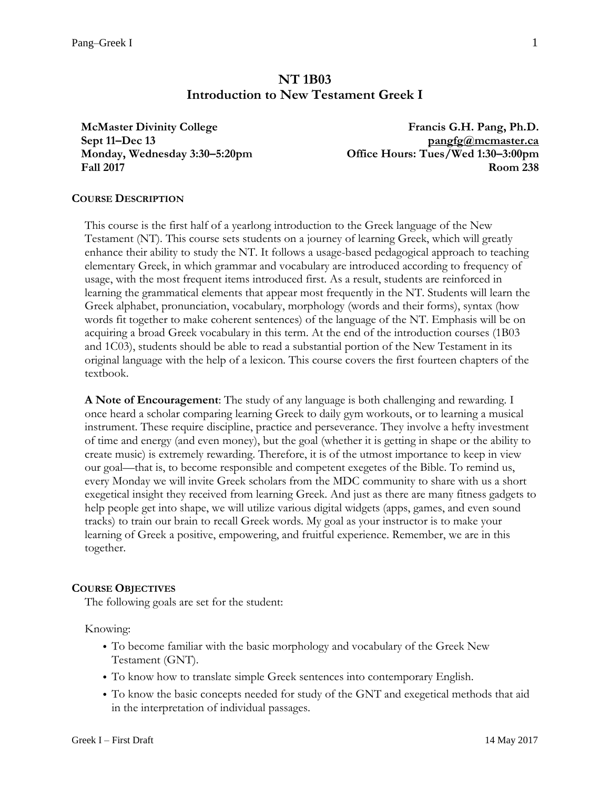# **NT 1B03 Introduction to New Testament Greek I**

**McMaster Divinity College Sept 11–Dec 13 Monday, Wednesday 3:30–5:20pm Fall 2017**

**Francis G.H. Pang, Ph.D. [pangfg@mcmaster.ca](mailto:pangfg@mcmaster.ca) Office Hours: Tues/Wed 1:30–3:00pm Room 238**

#### **COURSE DESCRIPTION**

This course is the first half of a yearlong introduction to the Greek language of the New Testament (NT). This course sets students on a journey of learning Greek, which will greatly enhance their ability to study the NT. It follows a usage-based pedagogical approach to teaching elementary Greek, in which grammar and vocabulary are introduced according to frequency of usage, with the most frequent items introduced first. As a result, students are reinforced in learning the grammatical elements that appear most frequently in the NT. Students will learn the Greek alphabet, pronunciation, vocabulary, morphology (words and their forms), syntax (how words fit together to make coherent sentences) of the language of the NT. Emphasis will be on acquiring a broad Greek vocabulary in this term. At the end of the introduction courses (1B03 and 1C03), students should be able to read a substantial portion of the New Testament in its original language with the help of a lexicon. This course covers the first fourteen chapters of the textbook.

**A Note of Encouragement**: The study of any language is both challenging and rewarding. I once heard a scholar comparing learning Greek to daily gym workouts, or to learning a musical instrument. These require discipline, practice and perseverance. They involve a hefty investment of time and energy (and even money), but the goal (whether it is getting in shape or the ability to create music) is extremely rewarding. Therefore, it is of the utmost importance to keep in view our goal—that is, to become responsible and competent exegetes of the Bible. To remind us, every Monday we will invite Greek scholars from the MDC community to share with us a short exegetical insight they received from learning Greek. And just as there are many fitness gadgets to help people get into shape, we will utilize various digital widgets (apps, games, and even sound tracks) to train our brain to recall Greek words. My goal as your instructor is to make your learning of Greek a positive, empowering, and fruitful experience. Remember, we are in this together.

#### **COURSE OBJECTIVES**

The following goals are set for the student:

Knowing:

- To become familiar with the basic morphology and vocabulary of the Greek New Testament (GNT).
- To know how to translate simple Greek sentences into contemporary English.
- To know the basic concepts needed for study of the GNT and exegetical methods that aid in the interpretation of individual passages.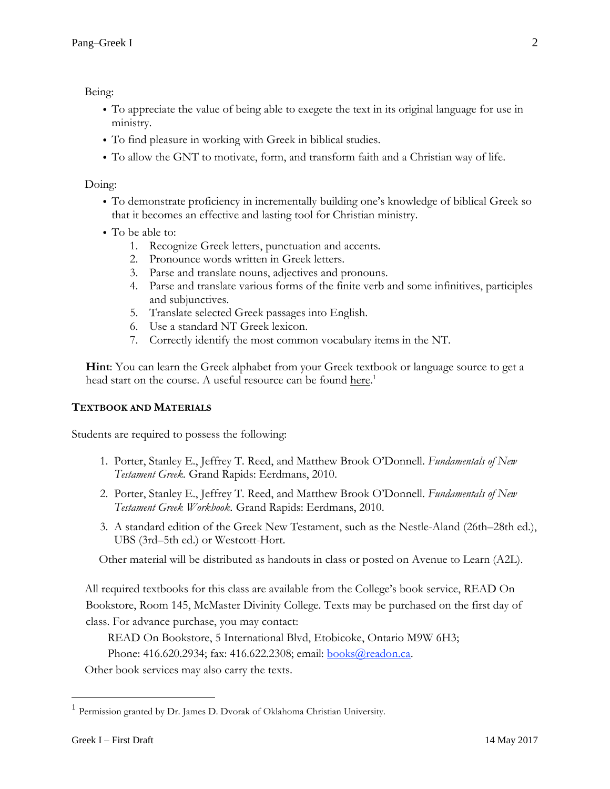Being:

- To appreciate the value of being able to exegete the text in its original language for use in ministry.
- To find pleasure in working with Greek in biblical studies.
- To allow the GNT to motivate, form, and transform faith and a Christian way of life.

Doing:

- To demonstrate proficiency in incrementally building one's knowledge of biblical Greek so that it becomes an effective and lasting tool for Christian ministry.
- To be able to:
	- 1. Recognize Greek letters, punctuation and accents.
	- 2. Pronounce words written in Greek letters.
	- 3. Parse and translate nouns, adjectives and pronouns.
	- 4. Parse and translate various forms of the finite verb and some infinitives, participles and subjunctives.
	- 5. Translate selected Greek passages into English.
	- 6. Use a standard NT Greek lexicon.
	- 7. Correctly identify the most common vocabulary items in the NT.

**Hint**: You can learn the Greek alphabet from your Greek textbook or language source to get a head start on the course. A useful resource can be found [here.](https://faculty.oc.edu/jim.dvorak/classes/elemgreek/alphabetapp/alphabet.aspx)<sup>1</sup>

# **TEXTBOOK AND MATERIALS**

Students are required to possess the following:

- 1. Porter, Stanley E., Jeffrey T. Reed, and Matthew Brook O'Donnell. *Fundamentals of New Testament Greek.* Grand Rapids: Eerdmans, 2010.
- 2. Porter, Stanley E., Jeffrey T. Reed, and Matthew Brook O'Donnell. *Fundamentals of New Testament Greek Workbook.* Grand Rapids: Eerdmans, 2010.
- 3. A standard edition of the Greek New Testament, such as the Nestle-Aland (26th–28th ed.), UBS (3rd–5th ed.) or Westcott-Hort.

Other material will be distributed as handouts in class or posted on Avenue to Learn (A2L).

All required textbooks for this class are available from the College's book service, READ On Bookstore, Room 145, McMaster Divinity College. Texts may be purchased on the first day of class. For advance purchase, you may contact:

READ On Bookstore, 5 International Blvd, Etobicoke, Ontario M9W 6H3;

Phone: 416.620.2934; fax: 416.622.2308; email: [books@readon.ca.](mailto:books@readon.ca)

Other book services may also carry the texts.

 $\overline{a}$ 

<sup>&</sup>lt;sup>1</sup> Permission granted by Dr. James D. Dvorak of Oklahoma Christian University.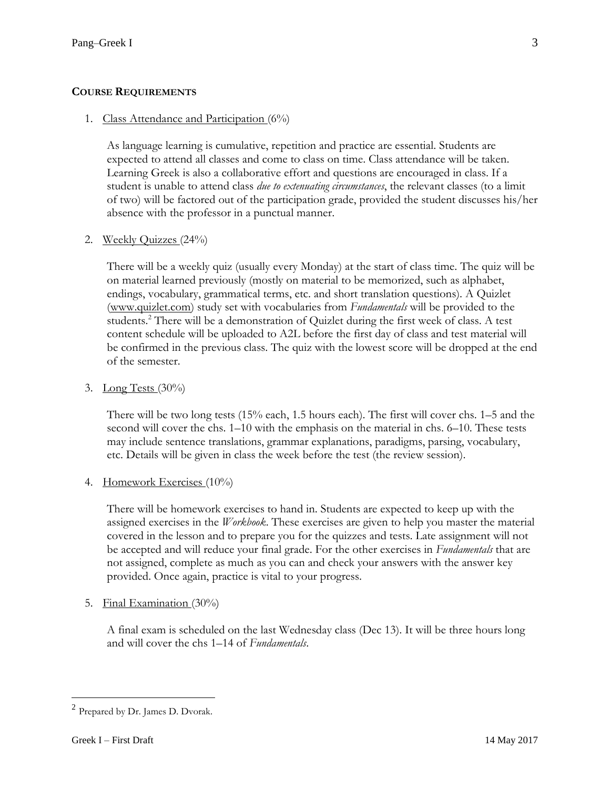# **COURSE REQUIREMENTS**

#### 1. Class Attendance and Participation (6%)

As language learning is cumulative, repetition and practice are essential. Students are expected to attend all classes and come to class on time. Class attendance will be taken. Learning Greek is also a collaborative effort and questions are encouraged in class. If a student is unable to attend class *due to extenuating circumstances*, the relevant classes (to a limit of two) will be factored out of the participation grade, provided the student discusses his/her absence with the professor in a punctual manner.

### 2. Weekly Quizzes (24%)

There will be a weekly quiz (usually every Monday) at the start of class time. The quiz will be on material learned previously (mostly on material to be memorized, such as alphabet, endings, vocabulary, grammatical terms, etc. and short translation questions). A Quizlet [\(www.quizlet.com\)](http://www.quizlet.com)/) study set with vocabularies from *Fundamentals* will be provided to the students.<sup>2</sup> There will be a demonstration of Quizlet during the first week of class. A test content schedule will be uploaded to A2L before the first day of class and test material will be confirmed in the previous class. The quiz with the lowest score will be dropped at the end of the semester.

### 3. Long Tests  $(30\%)$

There will be two long tests (15% each, 1.5 hours each). The first will cover chs. 1–5 and the second will cover the chs. 1–10 with the emphasis on the material in chs. 6–10. These tests may include sentence translations, grammar explanations, paradigms, parsing, vocabulary, etc. Details will be given in class the week before the test (the review session).

# 4. Homework Exercises (10%)

There will be homework exercises to hand in. Students are expected to keep up with the assigned exercises in the *Workbook*. These exercises are given to help you master the material covered in the lesson and to prepare you for the quizzes and tests. Late assignment will not be accepted and will reduce your final grade. For the other exercises in *Fundamentals* that are not assigned, complete as much as you can and check your answers with the answer key provided. Once again, practice is vital to your progress.

5. Final Examination (30%)

A final exam is scheduled on the last Wednesday class (Dec 13). It will be three hours long and will cover the chs 1–14 of *Fundamentals*.

 $\overline{a}$ 

<sup>&</sup>lt;sup>2</sup> Prepared by Dr. James D. Dvorak.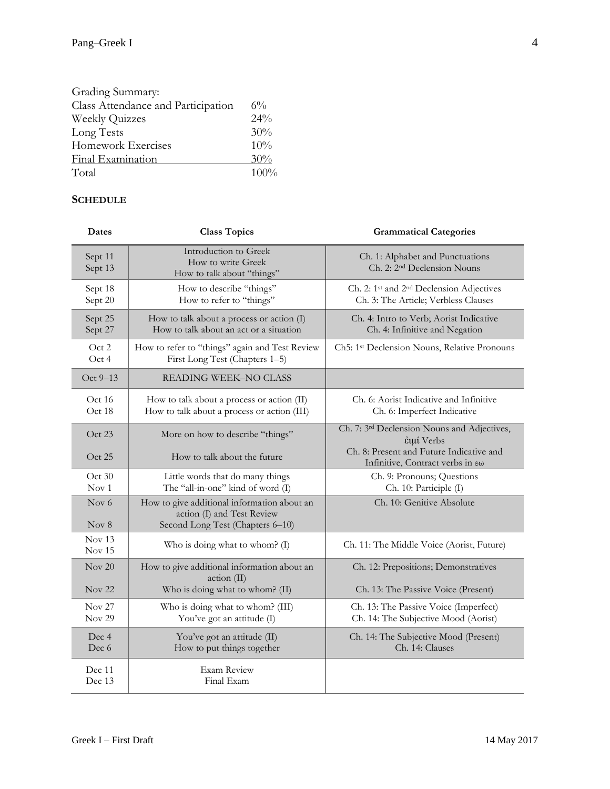| Grading Summary:                   |         |
|------------------------------------|---------|
| Class Attendance and Participation | $6\%$   |
| <b>Weekly Quizzes</b>              | 24%     |
| Long Tests                         | 30%     |
| Homework Exercises                 | 10%     |
| Final Examination                  | 30%     |
| Total                              | $100\%$ |

# **SCHEDULE**

| <b>Dates</b>                           | <b>Class Topics</b>                                                                                           | <b>Grammatical Categories</b>                                                                            |
|----------------------------------------|---------------------------------------------------------------------------------------------------------------|----------------------------------------------------------------------------------------------------------|
| Sept 11<br>Sept 13                     | Introduction to Greek<br>How to write Greek<br>How to talk about "things"                                     | Ch. 1: Alphabet and Punctuations<br>Ch. 2: 2 <sup>nd</sup> Declension Nouns                              |
| Sept 18<br>Sept 20                     | How to describe "things"<br>How to refer to "things"                                                          | Ch. 2: 1 <sup>st</sup> and 2 <sup>nd</sup> Declension Adjectives<br>Ch. 3: The Article; Verbless Clauses |
| Sept 25<br>Sept 27                     | How to talk about a process or action (I)<br>How to talk about an act or a situation                          | Ch. 4: Intro to Verb; Aorist Indicative<br>Ch. 4: Infinitive and Negation                                |
| Oct 2<br>Oct 4                         | How to refer to "things" again and Test Review<br>First Long Test (Chapters 1-5)                              | Ch5: 1st Declension Nouns, Relative Pronouns                                                             |
| Oct 9-13                               | READING WEEK-NO CLASS                                                                                         |                                                                                                          |
| Oct 16<br>Oct 18                       | How to talk about a process or action (II)<br>How to talk about a process or action (III)                     | Ch. 6: Aorist Indicative and Infinitive<br>Ch. 6: Imperfect Indicative                                   |
| Oct 23                                 | More on how to describe "things"                                                                              | Ch. 7: 3rd Declension Nouns and Adjectives,<br>έιμί Verbs                                                |
| Oct 25                                 | How to talk about the future                                                                                  | Ch. 8: Present and Future Indicative and<br>Infinitive, Contract verbs in $\epsilon\omega$               |
| Oct 30<br>Nov <sub>1</sub>             | Little words that do many things<br>The "all-in-one" kind of word (I)                                         | Ch. 9: Pronouns; Questions<br>Ch. 10: Participle (I)                                                     |
| Nov $6$<br>Nov 8                       | How to give additional information about an<br>action (I) and Test Review<br>Second Long Test (Chapters 6-10) | Ch. 10: Genitive Absolute                                                                                |
| Nov <sub>13</sub><br>Nov 15            | Who is doing what to whom? (I)                                                                                | Ch. 11: The Middle Voice (Aorist, Future)                                                                |
| Nov $20$                               | How to give additional information about an<br>action (II)                                                    | Ch. 12: Prepositions; Demonstratives                                                                     |
| Nov <sub>22</sub>                      | Who is doing what to whom? (II)                                                                               | Ch. 13: The Passive Voice (Present)                                                                      |
| Nov <sub>27</sub><br>Nov <sub>29</sub> | Who is doing what to whom? (III)<br>You've got an attitude (I)                                                | Ch. 13: The Passive Voice (Imperfect)<br>Ch. 14: The Subjective Mood (Aorist)                            |
| Dec 4<br>Dec 6                         | You've got an attitude (II)<br>How to put things together                                                     | Ch. 14: The Subjective Mood (Present)<br>Ch. 14: Clauses                                                 |
| Dec 11<br>Dec 13                       | <b>Exam Review</b><br>Final Exam                                                                              |                                                                                                          |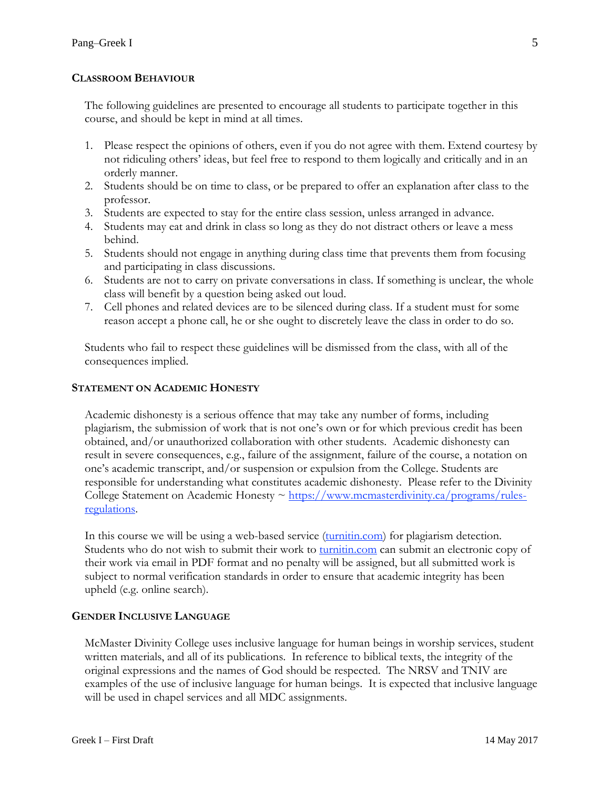### **CLASSROOM BEHAVIOUR**

The following guidelines are presented to encourage all students to participate together in this course, and should be kept in mind at all times.

- 1. Please respect the opinions of others, even if you do not agree with them. Extend courtesy by not ridiculing others' ideas, but feel free to respond to them logically and critically and in an orderly manner.
- 2. Students should be on time to class, or be prepared to offer an explanation after class to the professor.
- 3. Students are expected to stay for the entire class session, unless arranged in advance.
- 4. Students may eat and drink in class so long as they do not distract others or leave a mess behind.
- 5. Students should not engage in anything during class time that prevents them from focusing and participating in class discussions.
- 6. Students are not to carry on private conversations in class. If something is unclear, the whole class will benefit by a question being asked out loud.
- 7. Cell phones and related devices are to be silenced during class. If a student must for some reason accept a phone call, he or she ought to discretely leave the class in order to do so.

Students who fail to respect these guidelines will be dismissed from the class, with all of the consequences implied.

### **STATEMENT ON ACADEMIC HONESTY**

Academic dishonesty is a serious offence that may take any number of forms, including plagiarism, the submission of work that is not one's own or for which previous credit has been obtained, and/or unauthorized collaboration with other students. Academic dishonesty can result in severe consequences, e.g., failure of the assignment, failure of the course, a notation on one's academic transcript, and/or suspension or expulsion from the College. Students are responsible for understanding what constitutes academic dishonesty. Please refer to the Divinity College Statement on Academic Honesty  $\sim \frac{\text{https://www.mcmasterdivinity.ca/programs/rules-}}{\text{https://www.mcmasterdivinity.ca/programs/rules-}}$ [regulations.](https://www.mcmasterdivinity.ca/programs/rules-regulations)

In this course we will be using a web-based service [\(turnitin.com\)](http://turnitin.com/) for plagiarism detection. Students who do not wish to submit their work to [turnitin.com](http://turnitin.com/) can submit an electronic copy of their work via email in PDF format and no penalty will be assigned, but all submitted work is subject to normal verification standards in order to ensure that academic integrity has been upheld (e.g. online search).

# **GENDER INCLUSIVE LANGUAGE**

McMaster Divinity College uses inclusive language for human beings in worship services, student written materials, and all of its publications. In reference to biblical texts, the integrity of the original expressions and the names of God should be respected. The NRSV and TNIV are examples of the use of inclusive language for human beings. It is expected that inclusive language will be used in chapel services and all MDC assignments.